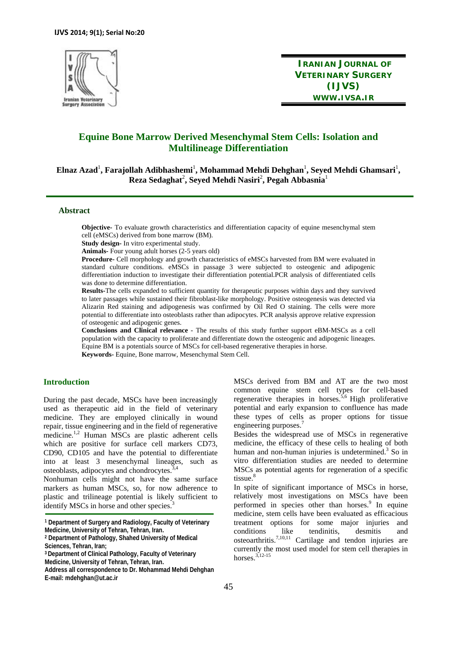

**IRANIAN JOURNAL OF VETERINARY SURGERY (IJVS) WWW.IVSA.IR**

# **Equine Bone Marrow Derived Mesenchymal Stem Cells: Isolation and Multilineage Differentiation**

 $\bold{E}$ lnaz Azad<sup>1</sup>, Farajollah Adibhashemi<sup>1</sup>, Mohammad Mehdi Dehghan<sup>1</sup>, Seyed Mehdi Ghamsari<sup>1</sup>, **Reza Sedaghat**<sup>2</sup> **, Seyed Mehdi Nasiri**<sup>2</sup> **, Pegah Abbasnia**<sup>1</sup>

### **Abstract**

**Objective-** To evaluate growth characteristics and differentiation capacity of equine mesenchymal stem cell (eMSCs) derived from bone marrow (BM).

**Study design-** In vitro experimental study.

**Animals-** Four young adult horses (2-5 years old)

**Procedure-** Cell morphology and growth characteristics of eMSCs harvested from BM were evaluated in standard culture conditions. eMSCs in passage 3 were subjected to osteogenic and adipogenic differentiation induction to investigate their differentiation potential.PCR analysis of differentiated cells was done to determine differentiation.

**Results-**The cells expanded to sufficient quantity for therapeutic purposes within days and they survived to later passages while sustained their fibroblast-like morphology. Positive osteogenesis was detected via Alizarin Red staining and adipogenesis was confirmed by Oil Red O staining. The cells were more potential to differentiate into osteoblasts rather than adipocytes. PCR analysis approve relative expression of osteogenic and adipogenic genes.

**Conclusions and Clinical relevance** - The results of this study further support eBM-MSCs as a cell population with the capacity to proliferate and differentiate down the osteogenic and adipogenic lineages. Equine BM is a potentials source of MSCs for cell-based regenerative therapies in horse. **Keywords-** Equine, Bone marrow, Mesenchymal Stem Cell.

## **Introduction**

During the past decade, MSCs have been increasingly used as therapeutic aid in the field of veterinary medicine. They are employed clinically in wound repair, tissue engineering and in the field of regenerative medicine.<sup>1,2</sup> Human MSCs are plastic adherent cells which are positive for surface cell markers CD73, CD90, CD105 and have the potential to differentiate into at least 3 mesenchymal lineages, such as osteoblasts, adipocytes and chondrocytes.<sup>3</sup>

Nonhuman cells might not have the same surface markers as human MSCs, so, for now adherence to plastic and trilineage potential is likely sufficient to identify MSCs in horse and other species.

MSCs derived from BM and AT are the two most common equine stem cell types for cell-based regenerative therapies in horses.5,6 High proliferative potential and early expansion to confluence has made these types of cells as proper options for tissue engineering purposes.<sup>7</sup>

Besides the widespread use of MSCs in regenerative medicine, the efficacy of these cells to healing of both human and non-human injuries is undetermined.<sup>3</sup> So in vitro differentiation studies are needed to determine MSCs as potential agents for regeneration of a specific tissue. $8$ 

In spite of significant importance of MSCs in horse, relatively most investigations on MSCs have been performed in species other than horses.<sup>9</sup> In equine medicine, stem cells have been evaluated as efficacious treatment options for some major injuries and conditions like tendinitis, desmitis and osteoarthritis.7,10,11 Cartilage and tendon injuries are currently the most used model for stem cell therapies in horses.3,12-15

**<sup>1</sup> Department of Surgery and Radiology, Faculty of Veterinary Medicine, University of Tehran, Tehran, Iran.** 

**<sup>2</sup> Department of Pathology, Shahed University of Medical Sciences, Tehran, Iran;** 

**<sup>3</sup> Department of Clinical Pathology, Faculty of Veterinary Medicine, University of Tehran, Tehran, Iran.** 

**Address all correspondence to Dr. Mohammad Mehdi Dehghan E-mail: mdehghan@ut.ac.ir**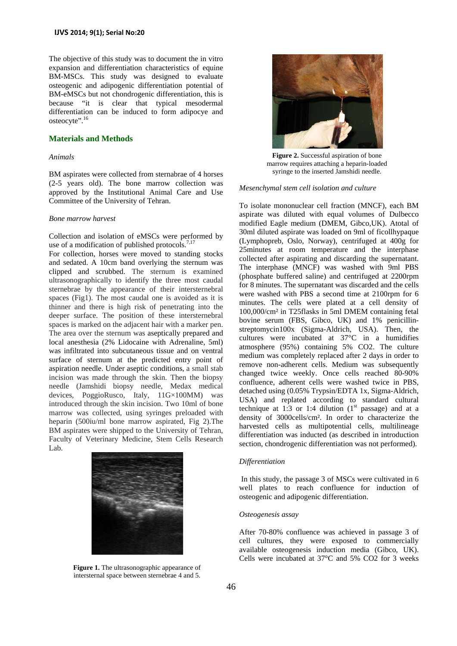The objective of this study was to document the in vitro expansion and differentiation characteristics of equine BM-MSCs. This study was designed to evaluate osteogenic and adipogenic differentiation potential of BM-eMSCs but not chondrogenic differentiation, this is because "it is clear that typical mesodermal differentiation can be induced to form adipocye and osteocyte".<sup>16</sup>

## **Materials and Methods**

#### *Animals*

BM aspirates were collected from sternabrae of 4 horses (2-5 years old). The bone marrow collection was approved by the Institutional Animal Care and Use Committee of the University of Tehran.

#### *Bone marrow harvest*

Collection and isolation of eMSCs were performed by use of a modification of published protocols.<sup>7,17</sup>

For collection, horses were moved to standing stocks and sedated. A 10cm band overlying the sternum was clipped and scrubbed. The sternum is examined ultrasonographically to identify the three most caudal sternebrae by the appearance of their intersternebral spaces (Fig1). The most caudal one is avoided as it is thinner and there is high risk of penetrating into the deeper surface. The position of these intersternebral spaces is marked on the adjacent hair with a marker pen. The area over the sternum was aseptically prepared and local anesthesia (2% Lidocaine with Adrenaline, 5ml) was infiltrated into subcutaneous tissue and on ventral surface of sternum at the predicted entry point of aspiration needle. Under aseptic conditions, a small stab incision was made through the skin. Then the biopsy needle (Jamshidi biopsy needle, Medax medical devices, PoggioRusco, Italy, 11G×100MM) was introduced through the skin incision. Two 10ml of bone marrow was collected, using syringes preloaded with heparin (500iu/ml bone marrow aspirated, Fig 2).The BM aspirates were shipped to the University of Tehran, Faculty of Veterinary Medicine, Stem Cells Research Lab.



**Figure 1.** The ultrasonographic appearance of intersternal space between sternebrae 4 and 5.



**Figure 2.** Successful aspiration of bone marrow requires attaching a heparin-loaded syringe to the inserted Jamshidi needle.

#### *Mesenchymal stem cell isolation and culture*

To isolate mononuclear cell fraction (MNCF), each BM aspirate was diluted with equal volumes of Dulbecco modified Eagle medium (DMEM, Gibco,UK). Atotal of 30ml diluted aspirate was loaded on 9ml of ficollhypaque (Lymphopreb, Oslo, Norway), centrifuged at 400g for 25minutes at room temperature and the interphase collected after aspirating and discarding the supernatant. The interphase (MNCF) was washed with 9ml PBS (phosphate buffered saline) and centrifuged at 2200rpm for 8 minutes. The supernatant was discarded and the cells were washed with PBS a second time at 2100rpm for 6 minutes. The cells were plated at a cell density of 100,000/cm² in T25flasks in 5ml DMEM containing fetal bovine serum (FBS, Gibco, UK) and 1% penicillinstreptomycin100x (Sigma-Aldrich, USA). Then, the cultures were incubated at 37°C in a humidifies atmosphere (95%) containing 5% CO2. The culture medium was completely replaced after 2 days in order to remove non-adherent cells. Medium was subsequently changed twice weekly. Once cells reached 80-90% confluence, adherent cells were washed twice in PBS, detached using (0.05% Trypsin/EDTA 1x, Sigma-Aldrich, USA) and replated according to standard cultural technique at 1:3 or 1:4 dilution  $(1<sup>st</sup>$  passage) and at a density of 3000cells/cm². In order to characterize the harvested cells as multipotential cells, multilineage differentiation was inducted (as described in introduction section, chondrogenic differentiation was not performed).

#### *Differentiation*

 In this study, the passage 3 of MSCs were cultivated in 6 well plates to reach confluence for induction of osteogenic and adipogenic differentiation.

#### *Osteogenesis assay*

After 70-80% confluence was achieved in passage 3 of cell cultures, they were exposed to commercially available osteogenesis induction media (Gibco, UK). Cells were incubated at 37°C and 5% CO2 for 3 weeks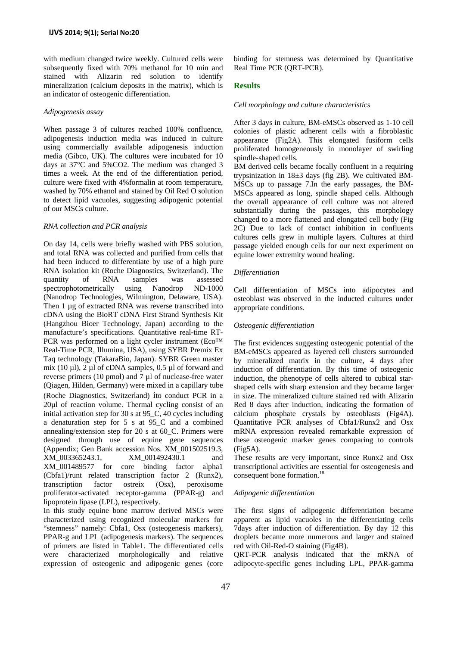with medium changed twice weekly. Cultured cells were subsequently fixed with 70% methanol for 10 min and stained with Alizarin red solution to identify mineralization (calcium deposits in the matrix), which is an indicator of osteogenic differentiation.

#### *Adipogenesis assay*

When passage 3 of cultures reached 100% confluence, adipogenesis induction media was induced in culture using commercially available adipogenesis induction media (Gibco, UK). The cultures were incubated for 10 days at 37°C and 5%CO2. The medium was changed 3 times a week. At the end of the differentiation period, culture were fixed with 4%formalin at room temperature, washed by 70% ethanol and stained by Oil Red O solution to detect lipid vacuoles, suggesting adipogenic potential of our MSCs culture.

#### *RNA collection and PCR analysis*

On day 14, cells were briefly washed with PBS solution, and total RNA was collected and purified from cells that had been induced to differentiate by use of a high pure RNA isolation kit (Roche Diagnostics, Switzerland). The quantity of RNA samples was assessed spectrophotometrically using Nanodrop ND-1000 (Nanodrop Technologies, Wilmington, Delaware, USA). Then 1 µg of extracted RNA was reverse transcribed into cDNA using the BioRT cDNA First Strand Synthesis Kit (Hangzhou Bioer Technology, Japan) according to the manufacture's specifications. Quantitative real-time RT-PCR was performed on a light cycler instrument (Eco™ Real-Time PCR, Illumina, USA), using SYBR Premix Ex Taq technology (TakaraBio, Japan). SYBR Green master mix (10  $\mu$ l), 2  $\mu$ l of cDNA samples, 0.5  $\mu$ l of forward and reverse primers (10 pmol) and 7 µl of nuclease-free water (Qiagen, Hilden, Germany) were mixed in a capillary tube (Roche Diagnostics, Switzerland) ito conduct PCR in a 20µl of reaction volume. Thermal cycling consist of an initial activation step for 30 s at 95\_C, 40 cycles including a denaturation step for 5 s at 95\_C and a combined annealing/extension step for 20 s at 60\_C. Primers were designed through use of equine gene sequences (Appendix; Gen Bank accession Nos. XM\_001502519.3, XM\_003365243.1, XM\_001492430.1 and XM\_001489577 for core binding factor alpha1 (Cbfa1)/runt related transcription factor 2 (Runx2), transcription factor ostreix (Osx), peroxisome proliferator-activated receptor-gamma (PPAR-g) and lipoprotein lipase (LPL), respectively.

In this study equine bone marrow derived MSCs were characterized using recognized molecular markers for "stemness" namely: Cbfa1, Osx (osteogenesis markers), PPAR-g and LPL (adipogenesis markers). The sequences of primers are listed in Table1. The differentiated cells were characterized morphologically and relative expression of osteogenic and adipogenic genes (core

binding for stemness was determined by Quantitative Real Time PCR (QRT-PCR).

#### **Results**

#### *Cell morphology and culture characteristics*

After 3 days in culture, BM-eMSCs observed as 1-10 cell colonies of plastic adherent cells with a fibroblastic appearance (Fig2A). This elongated fusiform cells proliferated homogeneously in monolayer of swirling spindle-shaped cells.

BM derived cells became focally confluent in a requiring trypsinization in 18±3 days (fig 2B). We cultivated BM-MSCs up to passage 7.In the early passages, the BM-MSCs appeared as long, spindle shaped cells. Although the overall appearance of cell culture was not altered substantially during the passages, this morphology changed to a more flattened and elongated cell body (Fig 2C) Due to lack of contact inhibition in confluents cultures cells grew in multiple layers. Cultures at third passage yielded enough cells for our next experiment on equine lower extremity wound healing.

#### *Differentiation*

Cell differentiation of MSCs into adipocytes and osteoblast was observed in the inducted cultures under appropriate conditions.

#### *Osteogenic differentiation*

The first evidences suggesting osteogenic potential of the BM-eMSCs appeared as layered cell clusters surrounded by mineralized matrix in the culture, 4 days after induction of differentiation. By this time of osteogenic induction, the phenotype of cells altered to cubical starshaped cells with sharp extension and they became larger in size. The mineralized culture stained red with Alizarin Red 8 days after induction, indicating the formation of calcium phosphate crystals by osteoblasts (Fig4A). Quantitative PCR analyses of Cbfa1/Runx2 and Osx mRNA expression revealed remarkable expression of these osteogenic marker genes comparing to controls (Fig5A).

These results are very important, since Runx2 and Osx transcriptional activities are essential for osteogenesis and consequent bone formation.<sup>18</sup>

### *Adipogenic differentiation*

The first signs of adipogenic differentiation became apparent as lipid vacuoles in the differentiating cells 7days after induction of differentiation. By day 12 this droplets became more numerous and larger and stained red with Oil-Red-O staining (Fig4B).

QRT-PCR analysis indicated that the mRNA of adipocyte-specific genes including LPL, PPAR-gamma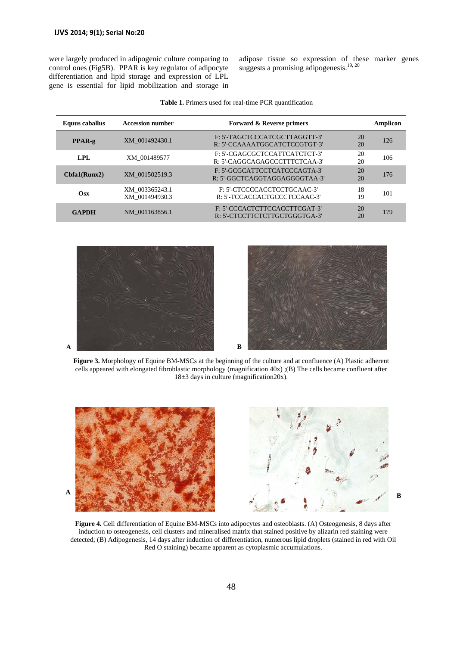were largely produced in adipogenic culture comparing to control ones (Fig5B). PPAR is key regulator of adipocyte differentiation and lipid storage and expression of LPL gene is essential for lipid mobilization and storage in

adipose tissue so expression of these marker genes suggests a promising adipogenesis.<sup>19, 20</sup>

| Equus caballus | <b>Accession number</b>          | <b>Forward &amp; Reverse primers</b>                           |          | Amplicon |
|----------------|----------------------------------|----------------------------------------------------------------|----------|----------|
| $PPAR-g$       | XM 001492430.1                   | F: 5'-TAGCTCCCATCGCTTAGGTT-3'<br>R: 5'-CCAAAATGGCATCTCCGTGT-3' | 20<br>20 | 126      |
| LPL            | XM 001489577                     | F: 5'-CGAGCGCTCCATTCATCTCT-3'<br>R: 5'-CAGGCAGAGCCCTTTCTCAA-3' | 20<br>20 | 106      |
| Chfa1(Runx2)   | XM 001502519.3                   | F: 5'-GCGCATTCCTCATCCCAGTA-3'<br>R: 5'-GGCTCAGGTAGGAGGGGTAA-3' | 20<br>20 | 176      |
| $\bf O$ sx     | XM 003365243.1<br>XM 001494930.3 | F: 5'-CTCCCCACCTCCTGCAAC-3'<br>R: 5'-TCCACCACTGCCCTCCAAC-3'    | 18<br>19 | 101      |
| <b>GAPDH</b>   | NM 001163856.1                   | F: 5'-CCCACTCTTCCACCTTCGAT-3'<br>R: 5'-CTCCTTCTCTTGCTGGGTGA-3' | 20<br>20 | 179      |

|  |  |  |  |  |  |  | <b>Table 1.</b> Primers used for real-time PCR quantification |
|--|--|--|--|--|--|--|---------------------------------------------------------------|
|--|--|--|--|--|--|--|---------------------------------------------------------------|





**Figure 3.** Morphology of Equine BM-MSCs at the beginning of the culture and at confluence (A) Plastic adherent cells appeared with elongated fibroblastic morphology (magnification 40x) ;(B) The cells became confluent after 18±3 days in culture (magnification20x).



**Figure 4.** Cell differentiation of Equine BM-MSCs into adipocytes and osteoblasts. (A) Osteogenesis, 8 days after induction to osteogenesis, cell clusters and mineralised matrix that stained positive by alizarin red staining were detected; (B) Adipogenesis, 14 days after induction of differentiation, numerous lipid droplets (stained in red with Oil Red O staining) became apparent as cytoplasmic accumulations.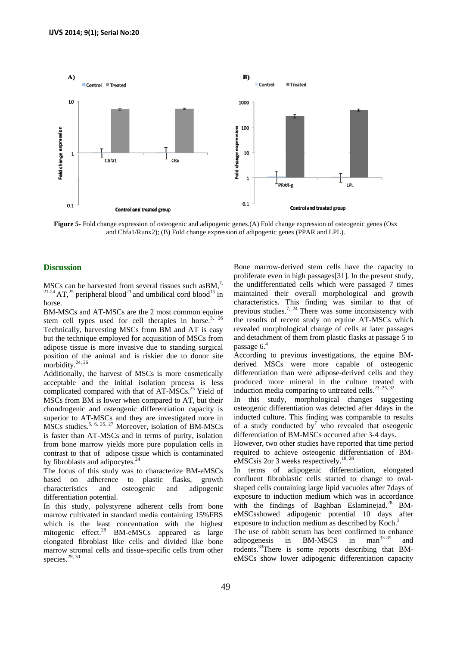

**Figure 5-** Fold change expression of osteogenic and adipogenic genes.(A) Fold change expression of osteogenic genes (Osx and Cbfa1/Runx2); (B) Fold change expression of adipogenic genes (PPAR and LPL).

## **Discussion**

MSCs can be harvested from several tissues such as BM,<sup>7,</sup>  $21-24$  AT,<sup>25</sup> peripheral blood<sup>23</sup> and umbilical cord blood<sup>15</sup> in horse.

BM-MSCs and AT-MSCs are the 2 most common equine stem cell types used for cell therapies in horse.<sup>5, 26</sup> Technically, harvesting MSCs from BM and AT is easy but the technique employed for acquisition of MSCs from adipose tissue is more invasive due to standing surgical position of the animal and is riskier due to donor site morbidity.<sup>24, 26</sup>

Additionally, the harvest of MSCs is more cosmetically acceptable and the initial isolation process is less complicated compared with that of AT-MSCs.<sup>25</sup> Yield of MSCs from BM is lower when compared to AT, but their chondrogenic and osteogenic differentiation capacity is superior to AT-MSCs and they are investigated more in MSCs studies.<sup>5, 6, 25, 27</sup> Moreover, isolation of BM-MSCs is faster than AT-MSCs and in terms of purity, isolation from bone marrow yields more pure population cells in contrast to that of adipose tissue which is contaminated by fibroblasts and adipocytes.<sup>24</sup>

The focus of this study was to characterize BM-eMSCs based on adherence to plastic flasks, growth characteristics and osteogenic and adipogenic differentiation potential.

In this study, polystyrene adherent cells from bone marrow cultivated in standard media containing 15%FBS which is the least concentration with the highest mitogenic effect.<sup>28</sup> BM-eMSCs appeared as large elongated fibroblast like cells and divided like bone marrow stromal cells and tissue-specific cells from other species. $29, 30$ 

Bone marrow-derived stem cells have the capacity to proliferate even in high passages[31]. In the present study, the undifferentiated cells which were passaged 7 times maintained their overall morphological and growth characteristics. This finding was similar to that of previous studies.<sup>7, 24</sup> There was some inconsistency with the results of recent study on equine AT-MSCs which revealed morphological change of cells at later passages and detachment of them from plastic flasks at passage 5 to passage  $6<sup>4</sup>$ 

According to previous investigations, the equine BMderived MSCs were more capable of osteogenic differentiation than were adipose-derived cells and they produced more mineral in the culture treated with induction media comparing to untreated cells.<sup>23, 25, 32</sup>

In this study, morphological changes suggesting osteogenic differentiation was detected after 4days in the inducted culture. This finding was comparable to results of a study conducted by<sup>7</sup> who revealed that oseogenic differentiation of BM-MSCs occurred after 3-4 days.

However, two other studies have reported that time period required to achieve osteogenic differentiation of BMeMSCsis 2or 3 weeks respectively.<sup>18, 28</sup>

In terms of adipogenic differentiation, elongated confluent fibroblastic cells started to change to ovalshaped cells containing large lipid vacuoles after 7days of exposure to induction medium which was in accordance with the findings of Baghban Eslaminejad.<sup>28</sup> BMeMSCsshowed adipogenic potential 10 days after exposure to induction medium as described by Koch.<sup>3</sup>

The use of rabbit serum has been confirmed to enhance<br>adipogenesis in BM-MSCS in  $\text{man}^{33-35}$  and adipogenesis in BM-MSCS in man<sup>33-35</sup> and rodents.<sup>33</sup>There is some reports describing that BMeMSCs show lower adipogenic differentiation capacity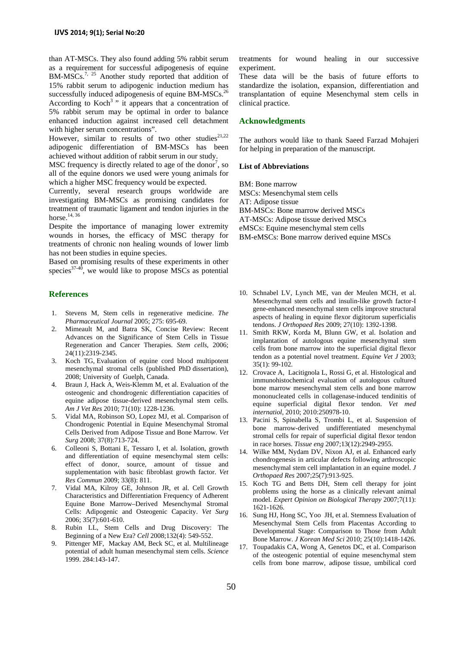than AT-MSCs. They also found adding 5% rabbit serum as a requirement for successful adipogenesis of equine BM-MSCs.<sup>7, 25</sup> Another study reported that addition of 15% rabbit serum to adipogenic induction medium has successfully induced adipogenesis of equine BM-MSCs.<sup>26</sup> According to Koch<sup>3</sup> " it appears that a concentration of 5% rabbit serum may be optimal in order to balance enhanced induction against increased cell detachment with higher serum concentrations".

However, similar to results of two other studies<sup>21,22</sup> adipogenic differentiation of BM-MSCs has been achieved without addition of rabbit serum in our study.

MSC frequency is directly related to age of the donor<sup>7</sup>, so all of the equine donors we used were young animals for which a higher MSC frequency would be expected.

Currently, several research groups worldwide are investigating BM-MSCs as promising candidates for treatment of traumatic ligament and tendon injuries in the horse.<sup>14, 36</sup>

Despite the importance of managing lower extremity wounds in horses, the efficacy of MSC therapy for treatments of chronic non healing wounds of lower limb has not been studies in equine species.

Based on promising results of these experiments in other species $37-40$ , we would like to propose MSCs as potential

### **References**

- 1. Stevens M, Stem cells in regenerative medicine. *The Pharmaceutical Journal* 2005; 275: 695-69.
- 2. Mimeault M, and Batra SK, Concise Review: Recent Advances on the Significance of Stem Cells in Tissue Regeneration and Cancer Therapies. *Stem cells*, 2006; 24(11):2319-2345.
- 3. Koch TG, Evaluation of equine cord blood multipotent mesenchymal stromal cells (published PhD dissertation), 2008; University of Guelph, Canada.
- 4. Braun J, Hack A, Weis-Klemm M, et al. Evaluation of the osteogenic and chondrogenic differentiation capacities of equine adipose tissue-derived mesenchymal stem cells. *Am J Vet Res* 2010; 71(10): 1228-1236.
- 5. Vidal MA, Robinson SO, Lopez MJ, et al. Comparison of Chondrogenic Potential in Equine Mesenchymal Stromal Cells Derived from Adipose Tissue and Bone Marrow*. Vet Surg* 2008; 37(8):713-724.
- 6. Colleoni S, Bottani E, Tessaro I, et al. Isolation, growth and differentiation of equine mesenchymal stem cells: effect of donor, source, amount of tissue and supplementation with basic fibroblast growth factor. *Vet Res Commun* 2009; 33(8): 811.
- 7. Vidal MA, Kilroy GE, Johnson JR, et al. Cell Growth Characteristics and Differentiation Frequency of Adherent Equine Bone Marrow–Derived Mesenchymal Stromal Cells: Adipogenic and Osteogenic Capacity. *Vet Surg* 2006; 35(7):601-610.
- Rubin LL, Stem Cells and Drug Discovery: The Beginning of a New Era? *Cell* 2008;132(4): 549-552.
- 9. Pittenger MF, Mackay AM, Beck SC, et al. Multilineage potential of adult human mesenchymal stem cells. *Science* 1999. 284:143-147.

treatments for wound healing in our successive experiment.

These data will be the basis of future efforts to standardize the isolation, expansion, differentiation and transplantation of equine Mesenchymal stem cells in clinical practice.

## **Acknowledgments**

The authors would like to thank Saeed Farzad Mohajeri for helping in preparation of the manuscript.

#### **List of Abbreviations**

BM: Bone marrow MSCs: Mesenchymal stem cells AT: Adipose tissue BM-MSCs: Bone marrow derived MSCs AT-MSCs: Adipose tissue derived MSCs eMSCs: Equine mesenchymal stem cells BM-eMSCs: Bone marrow derived equine MSCs

- 10. Schnabel LV, Lynch ME, van der Meulen MCH, et al. Mesenchymal stem cells and insulin-like growth factor-I gene-enhanced mesenchymal stem cells improve structural aspects of healing in equine flexor digitorum superficialis tendons. *J Orthopaed Res* 2009; 27(10): 1392-1398.
- 11. Smith RKW, Korda M, Blunn GW, et al. Isolation and implantation of autologous equine mesenchymal stem cells from bone marrow into the superficial digital flexor tendon as a potential novel treatment. *Equine Vet J* 2003; 35(1): 99-102.
- 12. Crovace A, Lacitignola L, Rossi G, et al. Histological and immunohistochemical evaluation of autologous cultured bone marrow mesenchymal stem cells and bone marrow mononucleated cells in collagenase-induced tendinitis of equine superficial digital flexor tendon. *Vet med internatiol*, 2010; 2010:250978-10.
- 13. Pacini S, Spinabella S, Trombi L, et al. Suspension of bone marrow-derived undifferentiated mesenchymal stromal cells for repair of superficial digital flexor tendon in race horses. *Tissue eng* 2007;13(12):2949-2955.
- 14. Wilke MM, Nydam DV, Nixon AJ, et al. Enhanced early chondrogenesis in articular defects following arthroscopic mesenchymal stem cell implantation in an equine model. *J Orthopaed Res* 2007;25(7):913-925.
- 15. Koch TG and Betts DH, Stem cell therapy for joint problems using the horse as a clinically relevant animal model. *Expert Opinion on Biological Therapy* 2007;7(11): 1621-1626.
- 16. Sung HJ, Hong SC, Yoo JH, et al. Stemness Evaluation of Mesenchymal Stem Cells from Placentas According to Developmental Stage: Comparison to Those from Adult Bone Marrow. *J Korean Med Sci* 2010; 25(10):1418-1426.
- 17. Toupadakis CA, Wong A, Genetos DC, et al. Comparison of the osteogenic potential of equine mesenchymal stem cells from bone marrow, adipose tissue, umbilical cord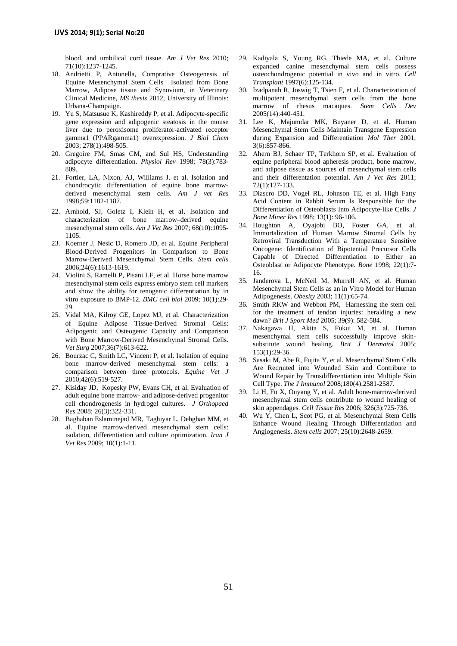blood, and umbilical cord tissue. *Am J Vet Res* 2010; 71(10):1237-1245.

- 18. Andrietti P, Antonella, Comprative Osteogenesis of Equine Mesenchymal Stem Cells Isolated from Bone Marrow, Adipose tissue and Synovium, in Veterinary Clinical Medicine, *MS thesis* 2012, University of Illinois: Urbana-Champaign.
- 19. Yu S, Matsusue K, Kashireddy P, et al. Adipocyte-specific gene expression and adipogenic steatosis in the mouse liver due to peroxisome proliferator-activated receptor gamma1 (PPARgamma1) overexpression. *J Biol Chem* 2003; 278(1):498-505.
- 20. Gregoire FM, Smas CM, and Sul HS, Understanding adipocyte differentiation. *Physiol Rev* 1998; 78(3):783- 809.
- 21. Fortier, LA, Nixon, AJ, Williams J. et al. Isolation and chondrocytic differentiation of equine bone marrowderived mesenchymal stem cells. *Am J vet Res* 1998;59:1182-1187.
- 22. Arnhold, SJ, Goletz I, Klein H, et al. Isolation and characterization of bone marrow–derived equine mesenchymal stem cells. *Am J Vet Res* 2007; 68(10):1095- 1105.
- 23. Koerner J, Nesic D, Romero JD, et al. Equine Peripheral Blood-Derived Progenitors in Comparison to Bone Marrow-Derived Mesenchymal Stem Cells. *Stem cells* 2006;24(6):1613-1619.
- 24. Violini S, Ramelli P, Pisani LF, et al. Horse bone marrow mesenchymal stem cells express embryo stem cell markers and show the ability for tenogenic differentiation by in vitro exposure to BMP-12. *BMC cell biol* 2009; 10(1):29- 29.
- 25. Vidal MA, Kilroy GE, Lopez MJ, et al. Characterization of Equine Adipose Tissue‐Derived Stromal Cells: Adipogenic and Osteogenic Capacity and Comparison with Bone Marrow‐Derived Mesenchymal Stromal Cells. *Vet Surg* 2007;36(7):613-622.
- 26. Bourzac C, Smith LC, Vincent P, et al. Isolation of equine bone marrow-derived mesenchymal stem cells: a comparison between three protocols. *Equine Vet J* 2010;42(6):519-527.
- 27. Kisiday JD, Kopesky PW, Evans CH, et al. Evaluation of adult equine bone marrow- and adipose-derived progenitor cell chondrogenesis in hydrogel cultures. *J Orthopaed Res* 2008; 26(3):322-331.
- 28. Baghaban Eslaminejad MR, Taghiyar L, Dehghan MM, et al. Equine marrow-derived mesenchymal stem cells: isolation, differentiation and culture optimization. *Iran J Vet Res* 2009; 10(1):1-11.
- 29. Kadiyala S, Young RG, Thiede MA, et al. Culture expanded canine mesenchymal stem cells possess osteochondrogenic potential in vivo and in vitro. *Cell Transplant* 1997(6):125-134.
- 30. Izadpanah R, Joswig T, Tsien F, et al. Characterization of multipotent mesenchymal stem cells from the bone marrow of rhesus macaques. *Stem Cells Dev* 2005(14):440-451.
- 31. Lee K, Majumdar MK, Buyaner D, et al. Human Mesenchymal Stem Cells Maintain Transgene Expression during Expansion and Differentiation *Mol Ther* 2001; 3(6):857-866.
- 32. Ahern BJ, Schaer TP, Terkhorn SP, et al. Evaluation of equine peripheral blood apheresis product, bone marrow, and adipose tissue as sources of mesenchymal stem cells and their differentation potential. *Am J Vet Res* 2011; 72(1):127-133.
- 33. Diascro DD, Vogel RL, Johnson TE, et al. High Fatty Acid Content in Rabbit Serum Is Responsible for the Differentiation of Osteoblasts Into Adipocyte-like Cells. *J Bone Miner Res* 1998; 13(1): 96-106.
- 34. Houghton A, Oyajobi BO, Foster GA, et al. Immortalization of Human Marrow Stromal Cells by Retroviral Transduction With a Temperature Sensitive Oncogene: Identification of Bipotential Precursor Cells Capable of Directed Differentiation to Either an Osteoblast or Adipocyte Phenotype. *Bone* 1998; 22(1):7- 16.
- 35. Janderova L, McNeil M, Murrell AN, et al. Human Mesenchymal Stem Cells as an in Vitro Model for Human Adipogenesis. *Obesity* 2003; 11(1):65-74.
- 36. Smith RKW and Webbon PM, Harnessing the stem cell for the treatment of tendon injuries: heralding a new dawn? *Brit J Sport Med* 2005; 39(9): 582-584.
- 37. Nakagawa H, Akita S, Fukui M, et al. Human mesenchymal stem cells successfully improve skinsubstitute wound healing. *Brit J Dermatol* 2005; 153(1):29-36.
- 38. Sasaki M, Abe R, Fujita Y, et al. Mesenchymal Stem Cells Are Recruited into Wounded Skin and Contribute to Wound Repair by Transdifferentiation into Multiple Skin Cell Type. *The J Immunol* 2008;180(4):2581-2587.
- 39. Li H, Fu X, Ouyang Y, et al. Adult bone-marrow-derived mesenchymal stem cells contribute to wound healing of skin appendages. *Cell Tissue Res* 2006; 326(3):725-736.
- 40. Wu Y, Chen L, Scot PG, et al. Mesenchymal Stem Cells Enhance Wound Healing Through Differentiation and Angiogenesis. *Stem cells* 2007; 25(10):2648-2659.